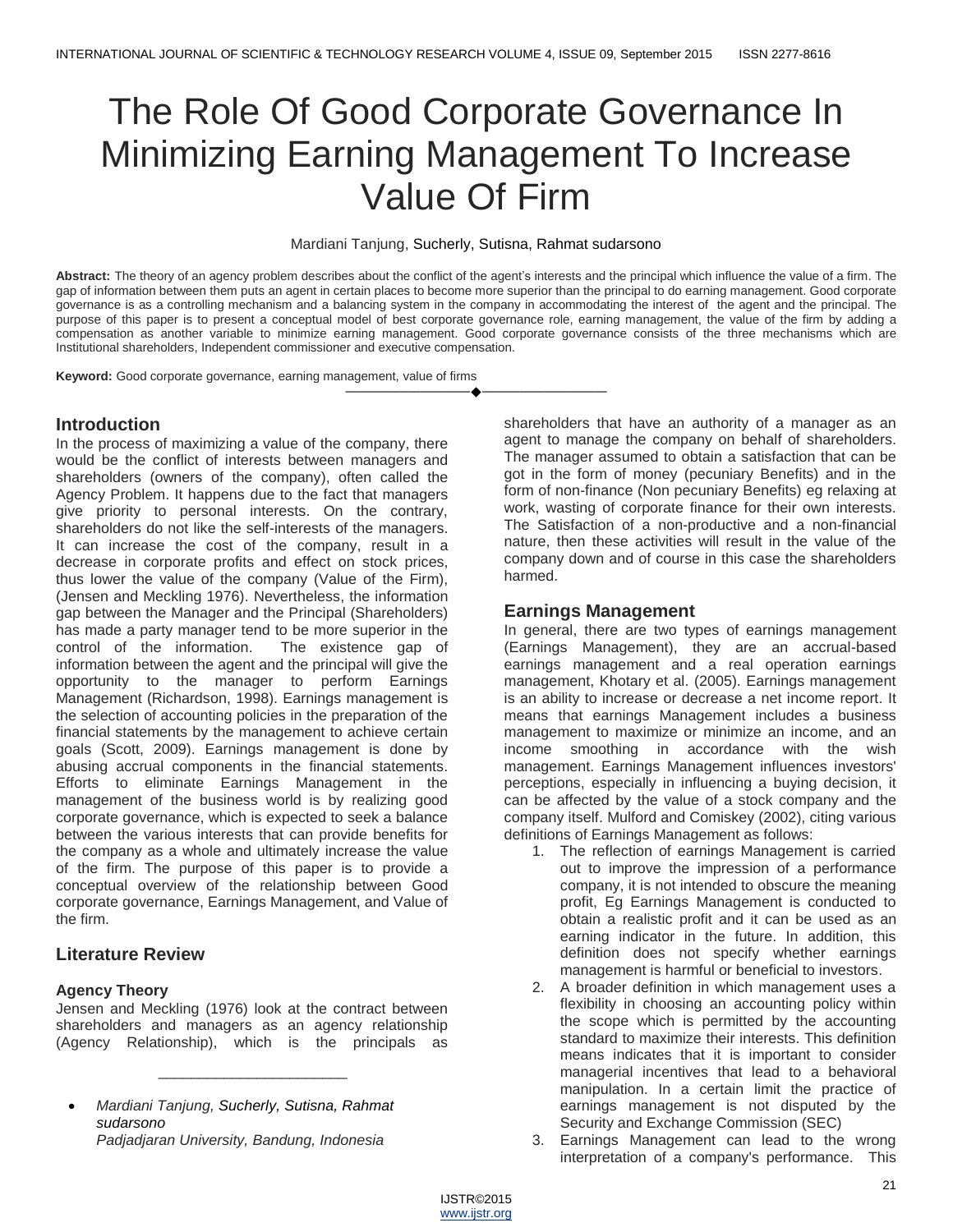# The Role Of Good Corporate Governance In Minimizing Earning Management To Increase Value Of Firm

#### Mardiani Tanjung, Sucherly, Sutisna, Rahmat sudarsono

**Abstract:** The theory of an agency problem describes about the conflict of the agent's interests and the principal which influence the value of a firm. The gap of information between them puts an agent in certain places to become more superior than the principal to do earning management. Good corporate governance is as a controlling mechanism and a balancing system in the company in accommodating the interest of the agent and the principal. The purpose of this paper is to present a conceptual model of best corporate governance role, earning management, the value of the firm by adding a compensation as another variable to minimize earning management. Good corporate governance consists of the three mechanisms which are Institutional shareholders, Independent commissioner and executive compensation.

————————————————————

**Keyword:** Good corporate governance, earning management, value of firms

#### **Introduction**

In the process of maximizing a value of the company, there would be the conflict of interests between managers and shareholders (owners of the company), often called the Agency Problem. It happens due to the fact that managers give priority to personal interests. On the contrary, shareholders do not like the self-interests of the managers. It can increase the cost of the company, result in a decrease in corporate profits and effect on stock prices, thus lower the value of the company (Value of the Firm), (Jensen and Meckling 1976). Nevertheless, the information gap between the Manager and the Principal (Shareholders) has made a party manager tend to be more superior in the control of the information. The existence gap of information between the agent and the principal will give the opportunity to the manager to perform Earnings Management (Richardson, 1998). Earnings management is the selection of accounting policies in the preparation of the financial statements by the management to achieve certain goals (Scott, 2009). Earnings management is done by abusing accrual components in the financial statements. Efforts to eliminate Earnings Management in the management of the business world is by realizing good corporate governance, which is expected to seek a balance between the various interests that can provide benefits for the company as a whole and ultimately increase the value of the firm. The purpose of this paper is to provide a conceptual overview of the relationship between Good corporate governance, Earnings Management, and Value of the firm.

## **Literature Review**

#### **Agency Theory**

Jensen and Meckling (1976) look at the contract between shareholders and managers as an agency relationship (Agency Relationship), which is the principals as

\_\_\_\_\_\_\_\_\_\_\_\_\_\_\_\_\_\_\_\_\_\_\_

shareholders that have an authority of a manager as an agent to manage the company on behalf of shareholders. The manager assumed to obtain a satisfaction that can be got in the form of money (pecuniary Benefits) and in the form of non-finance (Non pecuniary Benefits) eg relaxing at work, wasting of corporate finance for their own interests. The Satisfaction of a non-productive and a non-financial nature, then these activities will result in the value of the company down and of course in this case the shareholders harmed.

#### **Earnings Management**

In general, there are two types of earnings management (Earnings Management), they are an accrual-based earnings management and a real operation earnings management, Khotary et al. (2005). Earnings management is an ability to increase or decrease a net income report. It means that earnings Management includes a business management to maximize or minimize an income, and an income smoothing in accordance with the wish management. Earnings Management influences investors' perceptions, especially in influencing a buying decision, it can be affected by the value of a stock company and the company itself. Mulford and Comiskey (2002), citing various definitions of Earnings Management as follows:

- 1. The reflection of earnings Management is carried out to improve the impression of a performance company, it is not intended to obscure the meaning profit, Eg Earnings Management is conducted to obtain a realistic profit and it can be used as an earning indicator in the future. In addition, this definition does not specify whether earnings management is harmful or beneficial to investors.
- 2. A broader definition in which management uses a flexibility in choosing an accounting policy within the scope which is permitted by the accounting standard to maximize their interests. This definition means indicates that it is important to consider managerial incentives that lead to a behavioral manipulation. In a certain limit the practice of earnings management is not disputed by the Security and Exchange Commission (SEC)
- 3. Earnings Management can lead to the wrong interpretation of a company's performance. This

*Mardiani Tanjung, Sucherly, Sutisna, Rahmat sudarsono Padjadjaran University, Bandung, Indonesia*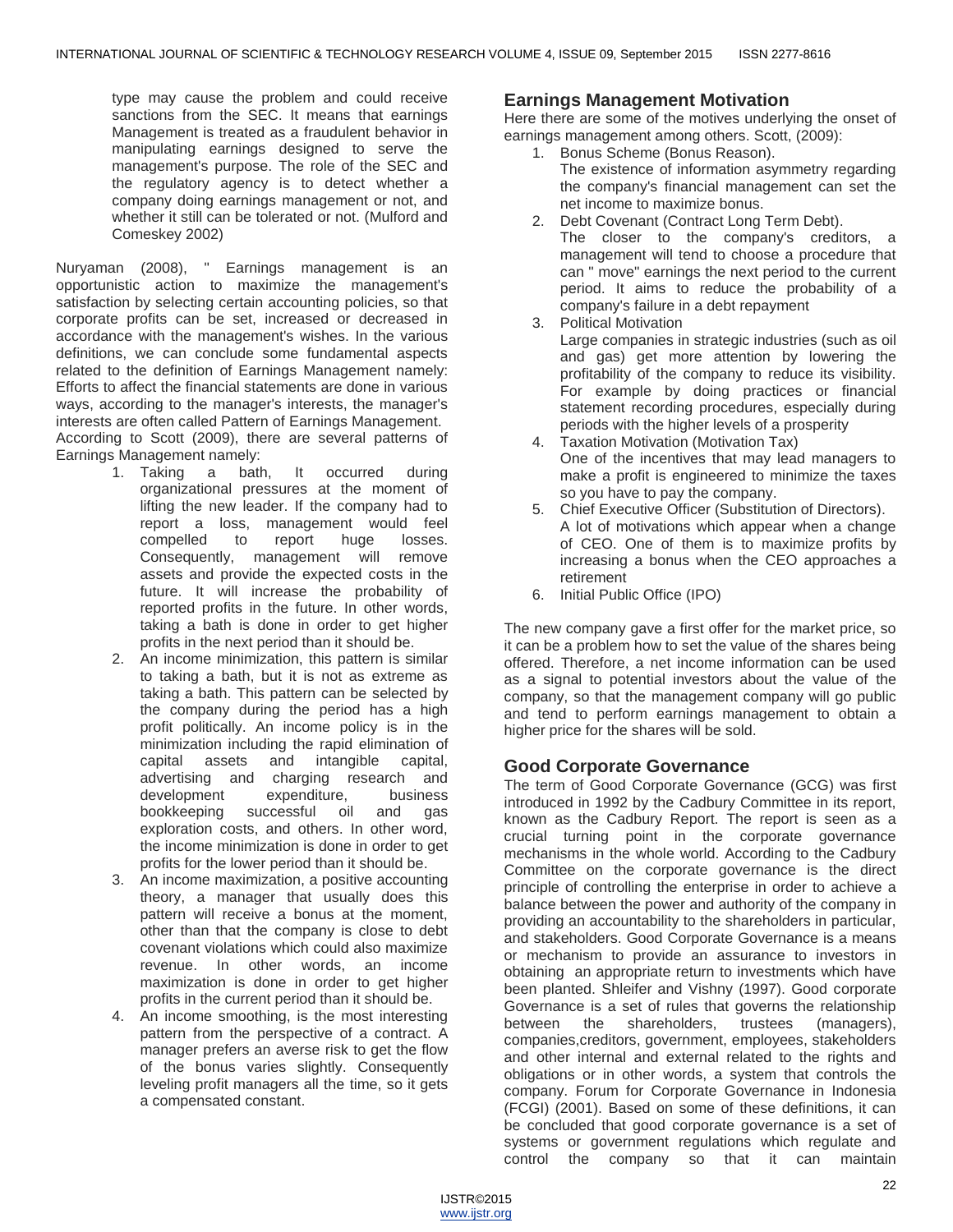type may cause the problem and could receive sanctions from the SEC. It means that earnings Management is treated as a fraudulent behavior in manipulating earnings designed to serve the management's purpose. The role of the SEC and the regulatory agency is to detect whether a company doing earnings management or not, and whether it still can be tolerated or not. (Mulford and Comeskey 2002)

Nuryaman (2008), " Earnings management is an opportunistic action to maximize the management's satisfaction by selecting certain accounting policies, so that corporate profits can be set, increased or decreased in accordance with the management's wishes. In the various definitions, we can conclude some fundamental aspects related to the definition of Earnings Management namely: Efforts to affect the financial statements are done in various ways, according to the manager's interests, the manager's interests are often called Pattern of Earnings Management. According to Scott (2009), there are several patterns of Earnings Management namely:

- 1. Taking a bath, It occurred during organizational pressures at the moment of lifting the new leader. If the company had to report a loss, management would feel compelled to report huge losses. Consequently, management will remove assets and provide the expected costs in the future. It will increase the probability of reported profits in the future. In other words, taking a bath is done in order to get higher profits in the next period than it should be.
- 2. An income minimization, this pattern is similar to taking a bath, but it is not as extreme as taking a bath. This pattern can be selected by the company during the period has a high profit politically. An income policy is in the minimization including the rapid elimination of capital assets and intangible capital, advertising and charging research and development expenditure, business bookkeeping successful oil and gas exploration costs, and others. In other word, the income minimization is done in order to get profits for the lower period than it should be.
- 3. An income maximization, a positive accounting theory, a manager that usually does this pattern will receive a bonus at the moment, other than that the company is close to debt covenant violations which could also maximize revenue. In other words, an income maximization is done in order to get higher profits in the current period than it should be.
- 4. An income smoothing, is the most interesting pattern from the perspective of a contract. A manager prefers an averse risk to get the flow of the bonus varies slightly. Consequently leveling profit managers all the time, so it gets a compensated constant.

## **Earnings Management Motivation**

Here there are some of the motives underlying the onset of earnings management among others. Scott, (2009):

- 1. Bonus Scheme (Bonus Reason). The existence of information asymmetry regarding the company's financial management can set the net income to maximize bonus.
- 2. Debt Covenant (Contract Long Term Debt). The closer to the company's creditors, a management will tend to choose a procedure that can " move" earnings the next period to the current period. It aims to reduce the probability of a company's failure in a debt repayment
- 3. Political Motivation Large companies in strategic industries (such as oil and gas) get more attention by lowering the profitability of the company to reduce its visibility. For example by doing practices or financial statement recording procedures, especially during periods with the higher levels of a prosperity
- 4. Taxation Motivation (Motivation Tax) One of the incentives that may lead managers to make a profit is engineered to minimize the taxes so you have to pay the company.
- 5. Chief Executive Officer (Substitution of Directors). A lot of motivations which appear when a change of CEO. One of them is to maximize profits by increasing a bonus when the CEO approaches a retirement
- 6. Initial Public Office (IPO)

The new company gave a first offer for the market price, so it can be a problem how to set the value of the shares being offered. Therefore, a net income information can be used as a signal to potential investors about the value of the company, so that the management company will go public and tend to perform earnings management to obtain a higher price for the shares will be sold.

## **Good Corporate Governance**

The term of Good Corporate Governance (GCG) was first introduced in 1992 by the Cadbury Committee in its report, known as the Cadbury Report. The report is seen as a crucial turning point in the corporate governance mechanisms in the whole world. According to the Cadbury Committee on the corporate governance is the direct principle of controlling the enterprise in order to achieve a balance between the power and authority of the company in providing an accountability to the shareholders in particular, and stakeholders. Good Corporate Governance is a means or mechanism to provide an assurance to investors in obtaining an appropriate return to investments which have been planted. Shleifer and Vishny (1997). Good corporate Governance is a set of rules that governs the relationship between the shareholders, trustees (managers), companies,creditors, government, employees, stakeholders and other internal and external related to the rights and obligations or in other words, a system that controls the company. Forum for Corporate Governance in Indonesia (FCGI) (2001). Based on some of these definitions, it can be concluded that good corporate governance is a set of systems or government regulations which regulate and control the company so that it can maintain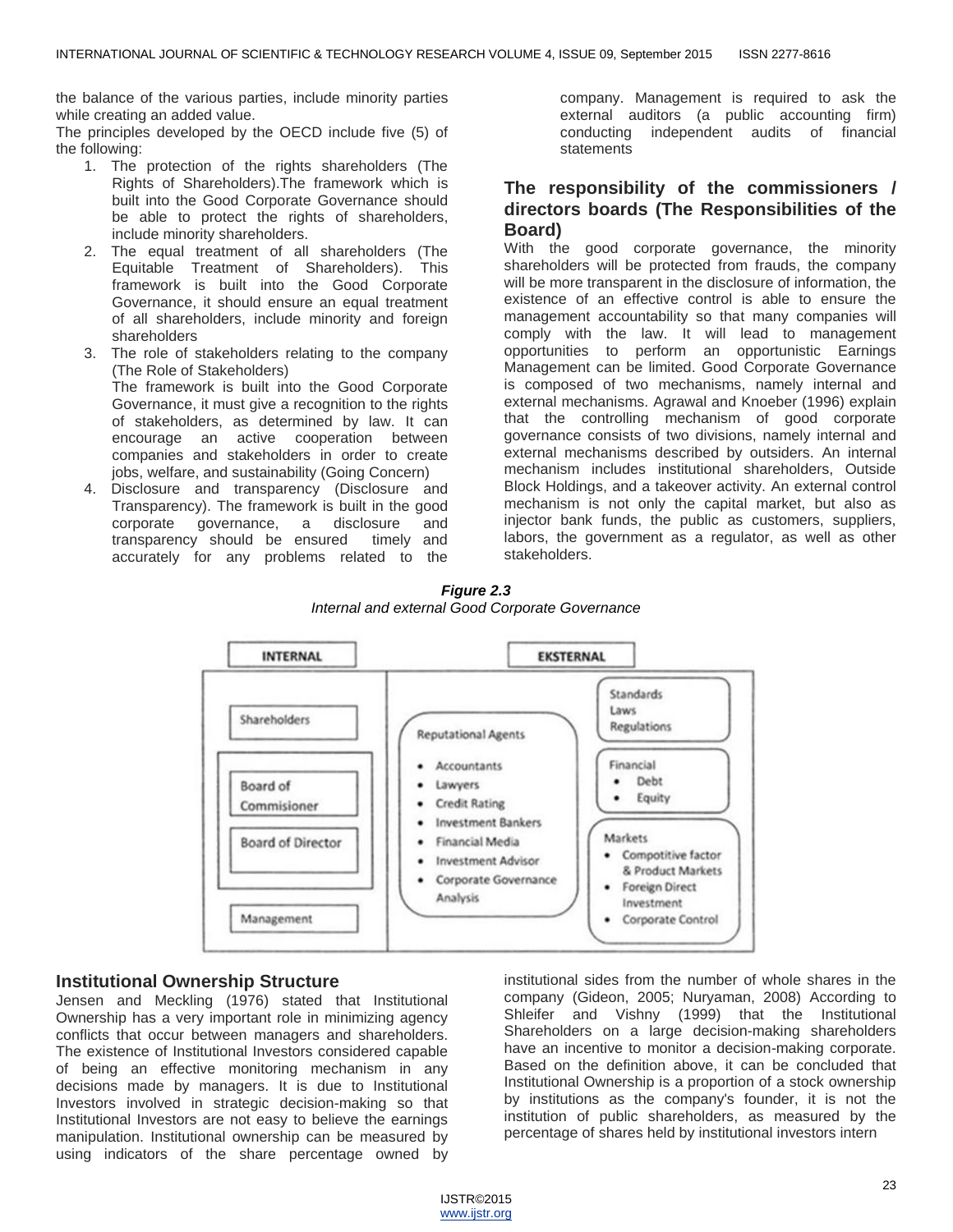the balance of the various parties, include minority parties while creating an added value.

The principles developed by the OECD include five (5) of the following:

- 1. The protection of the rights shareholders (The Rights of Shareholders).The framework which is built into the Good Corporate Governance should be able to protect the rights of shareholders, include minority shareholders.
- 2. The equal treatment of all shareholders (The Equitable Treatment of Shareholders). This framework is built into the Good Corporate Governance, it should ensure an equal treatment of all shareholders, include minority and foreign shareholders
- 3. The role of stakeholders relating to the company (The Role of Stakeholders) The framework is built into the Good Corporate Governance, it must give a recognition to the rights of stakeholders, as determined by law. It can encourage an active cooperation between companies and stakeholders in order to create jobs, welfare, and sustainability (Going Concern)
- 4. Disclosure and transparency (Disclosure and Transparency). The framework is built in the good corporate governance, a disclosure and transparency should be ensured timely and accurately for any problems related to the

company. Management is required to ask the external auditors (a public accounting firm) conducting independent audits of financial statements

## **The responsibility of the commissioners / directors boards (The Responsibilities of the Board)**

With the good corporate governance, the minority shareholders will be protected from frauds, the company will be more transparent in the disclosure of information, the existence of an effective control is able to ensure the management accountability so that many companies will comply with the law. It will lead to management opportunities to perform an opportunistic Earnings Management can be limited. Good Corporate Governance is composed of two mechanisms, namely internal and external mechanisms. Agrawal and Knoeber (1996) explain that the controlling mechanism of good corporate governance consists of two divisions, namely internal and external mechanisms described by outsiders. An internal mechanism includes institutional shareholders, Outside Block Holdings, and a takeover activity. An external control mechanism is not only the capital market, but also as injector bank funds, the public as customers, suppliers, labors, the government as a regulator, as well as other stakeholders.



*Figure 2.3 Internal and external Good Corporate Governance*

## **Institutional Ownership Structure**

Jensen and Meckling (1976) stated that Institutional Ownership has a very important role in minimizing agency conflicts that occur between managers and shareholders. The existence of Institutional Investors considered capable of being an effective monitoring mechanism in any decisions made by managers. It is due to Institutional Investors involved in strategic decision-making so that Institutional Investors are not easy to believe the earnings manipulation. Institutional ownership can be measured by using indicators of the share percentage owned by

institutional sides from the number of whole shares in the company (Gideon, 2005; Nuryaman, 2008) According to Shleifer and Vishny (1999) that the Institutional Shareholders on a large decision-making shareholders have an incentive to monitor a decision-making corporate. Based on the definition above, it can be concluded that Institutional Ownership is a proportion of a stock ownership by institutions as the company's founder, it is not the institution of public shareholders, as measured by the percentage of shares held by institutional investors intern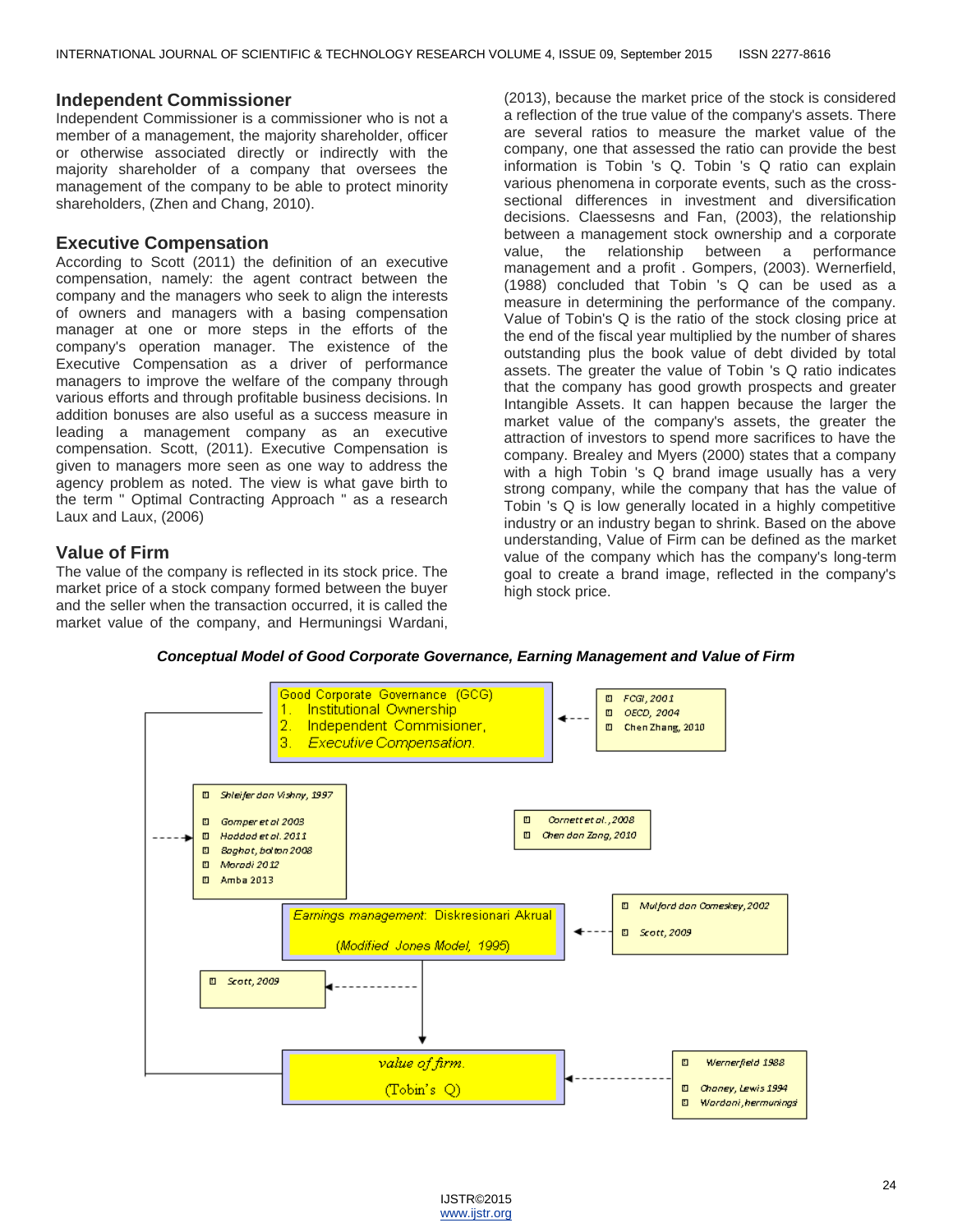#### **Independent Commissioner**

Independent Commissioner is a commissioner who is not a member of a management, the majority shareholder, officer or otherwise associated directly or indirectly with the majority shareholder of a company that oversees the management of the company to be able to protect minority shareholders, (Zhen and Chang, 2010).

#### **Executive Compensation**

According to Scott (2011) the definition of an executive compensation, namely: the agent contract between the company and the managers who seek to align the interests of owners and managers with a basing compensation manager at one or more steps in the efforts of the company's operation manager. The existence of the Executive Compensation as a driver of performance managers to improve the welfare of the company through various efforts and through profitable business decisions. In addition bonuses are also useful as a success measure in leading a management company as an executive compensation. Scott, (2011). Executive Compensation is given to managers more seen as one way to address the agency problem as noted. The view is what gave birth to the term " Optimal Contracting Approach " as a research Laux and Laux, (2006)

#### **Value of Firm**

The value of the company is reflected in its stock price. The market price of a stock company formed between the buyer and the seller when the transaction occurred, it is called the market value of the company, and Hermuningsi Wardani, (2013), because the market price of the stock is considered a reflection of the true value of the company's assets. There are several ratios to measure the market value of the company, one that assessed the ratio can provide the best information is Tobin 's Q. Tobin 's Q ratio can explain various phenomena in corporate events, such as the crosssectional differences in investment and diversification decisions. Claessesns and Fan, (2003), the relationship between a management stock ownership and a corporate value, the relationship between a performance management and a profit . Gompers, (2003). Wernerfield, (1988) concluded that Tobin 's Q can be used as a measure in determining the performance of the company. Value of Tobin's Q is the ratio of the stock closing price at the end of the fiscal year multiplied by the number of shares outstanding plus the book value of debt divided by total assets. The greater the value of Tobin 's Q ratio indicates that the company has good growth prospects and greater Intangible Assets. It can happen because the larger the market value of the company's assets, the greater the attraction of investors to spend more sacrifices to have the company. Brealey and Myers (2000) states that a company with a high Tobin 's Q brand image usually has a very strong company, while the company that has the value of Tobin 's Q is low generally located in a highly competitive industry or an industry began to shrink. Based on the above understanding, Value of Firm can be defined as the market value of the company which has the company's long-term goal to create a brand image, reflected in the company's high stock price.



*Conceptual Model of Good Corporate Governance, Earning Management and Value of Firm*

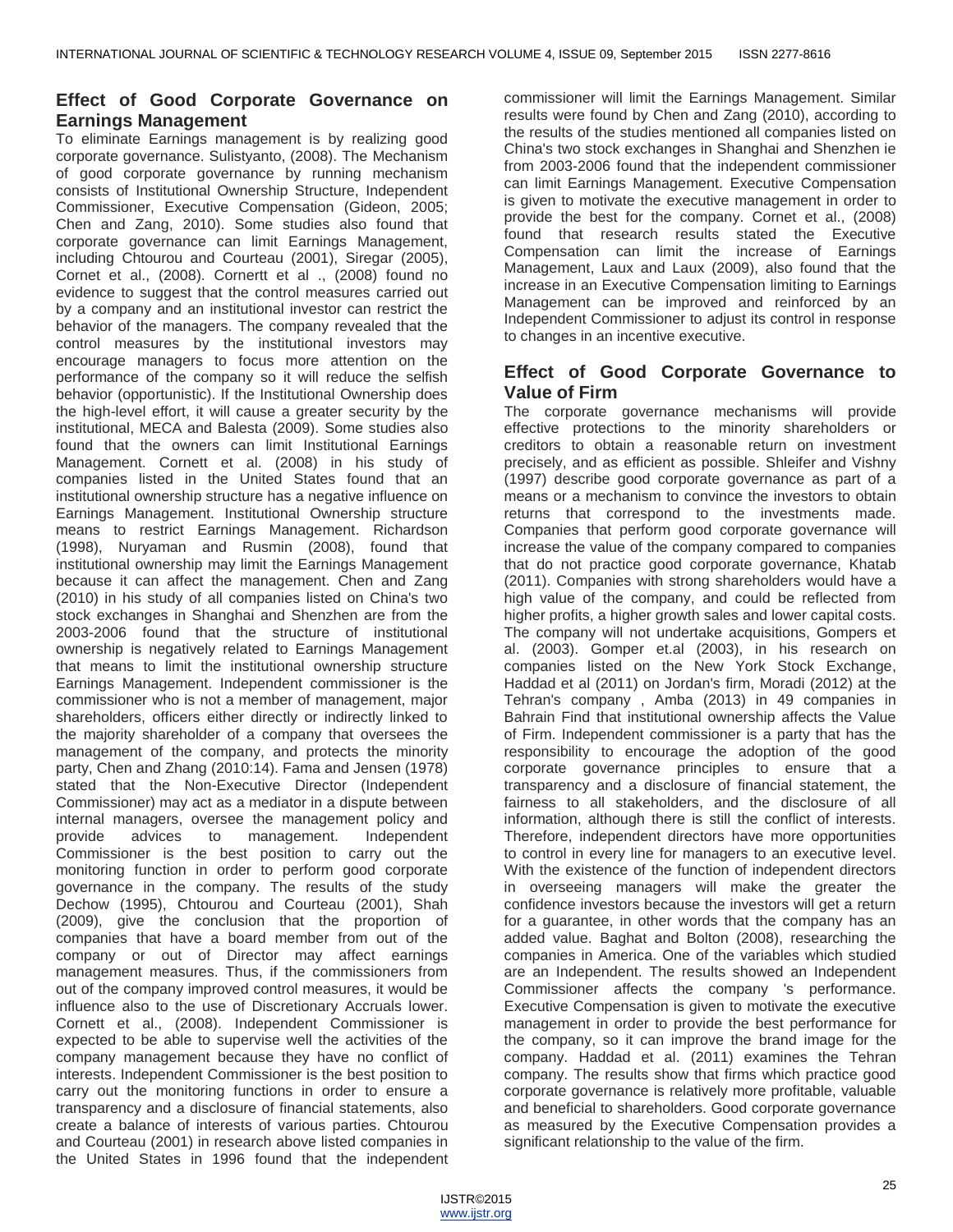## **Effect of Good Corporate Governance on Earnings Management**

To eliminate Earnings management is by realizing good corporate governance. Sulistyanto, (2008). The Mechanism of good corporate governance by running mechanism consists of Institutional Ownership Structure, Independent Commissioner, Executive Compensation (Gideon, 2005; Chen and Zang, 2010). Some studies also found that corporate governance can limit Earnings Management, including Chtourou and Courteau (2001), Siregar (2005), Cornet et al., (2008). Cornertt et al ., (2008) found no evidence to suggest that the control measures carried out by a company and an institutional investor can restrict the behavior of the managers. The company revealed that the control measures by the institutional investors may encourage managers to focus more attention on the performance of the company so it will reduce the selfish behavior (opportunistic). If the Institutional Ownership does the high-level effort, it will cause a greater security by the institutional, MECA and Balesta (2009). Some studies also found that the owners can limit Institutional Earnings Management. Cornett et al. (2008) in his study of companies listed in the United States found that an institutional ownership structure has a negative influence on Earnings Management. Institutional Ownership structure means to restrict Earnings Management. Richardson (1998), Nuryaman and Rusmin (2008), found that institutional ownership may limit the Earnings Management because it can affect the management. Chen and Zang (2010) in his study of all companies listed on China's two stock exchanges in Shanghai and Shenzhen are from the 2003-2006 found that the structure of institutional ownership is negatively related to Earnings Management that means to limit the institutional ownership structure Earnings Management. Independent commissioner is the commissioner who is not a member of management, major shareholders, officers either directly or indirectly linked to the majority shareholder of a company that oversees the management of the company, and protects the minority party, Chen and Zhang (2010:14). Fama and Jensen (1978) stated that the Non-Executive Director (Independent Commissioner) may act as a mediator in a dispute between internal managers, oversee the management policy and provide advices to management. Independent Commissioner is the best position to carry out the monitoring function in order to perform good corporate governance in the company. The results of the study Dechow (1995), Chtourou and Courteau (2001), Shah (2009), give the conclusion that the proportion of companies that have a board member from out of the company or out of Director may affect earnings management measures. Thus, if the commissioners from out of the company improved control measures, it would be influence also to the use of Discretionary Accruals lower. Cornett et al., (2008). Independent Commissioner is expected to be able to supervise well the activities of the company management because they have no conflict of interests. Independent Commissioner is the best position to carry out the monitoring functions in order to ensure a transparency and a disclosure of financial statements, also create a balance of interests of various parties. Chtourou and Courteau (2001) in research above listed companies in the United States in 1996 found that the independent commissioner will limit the Earnings Management. Similar results were found by Chen and Zang (2010), according to the results of the studies mentioned all companies listed on China's two stock exchanges in Shanghai and Shenzhen ie from 2003-2006 found that the independent commissioner can limit Earnings Management. Executive Compensation is given to motivate the executive management in order to provide the best for the company. Cornet et al., (2008) found that research results stated the Executive Compensation can limit the increase of Earnings Management, Laux and Laux (2009), also found that the increase in an Executive Compensation limiting to Earnings Management can be improved and reinforced by an Independent Commissioner to adjust its control in response to changes in an incentive executive.

## **Effect of Good Corporate Governance to Value of Firm**

The corporate governance mechanisms will provide effective protections to the minority shareholders or creditors to obtain a reasonable return on investment precisely, and as efficient as possible. Shleifer and Vishny (1997) describe good corporate governance as part of a means or a mechanism to convince the investors to obtain returns that correspond to the investments made. Companies that perform good corporate governance will increase the value of the company compared to companies that do not practice good corporate governance, Khatab (2011). Companies with strong shareholders would have a high value of the company, and could be reflected from higher profits, a higher growth sales and lower capital costs. The company will not undertake acquisitions, Gompers et al. (2003). Gomper et.al (2003), in his research on companies listed on the New York Stock Exchange, Haddad et al (2011) on Jordan's firm, Moradi (2012) at the Tehran's company , Amba (2013) in 49 companies in Bahrain Find that institutional ownership affects the Value of Firm. Independent commissioner is a party that has the responsibility to encourage the adoption of the good corporate governance principles to ensure that a transparency and a disclosure of financial statement, the fairness to all stakeholders, and the disclosure of all information, although there is still the conflict of interests. Therefore, independent directors have more opportunities to control in every line for managers to an executive level. With the existence of the function of independent directors in overseeing managers will make the greater the confidence investors because the investors will get a return for a guarantee, in other words that the company has an added value. Baghat and Bolton (2008), researching the companies in America. One of the variables which studied are an Independent. The results showed an Independent Commissioner affects the company 's performance. Executive Compensation is given to motivate the executive management in order to provide the best performance for the company, so it can improve the brand image for the company. Haddad et al. (2011) examines the Tehran company. The results show that firms which practice good corporate governance is relatively more profitable, valuable and beneficial to shareholders. Good corporate governance as measured by the Executive Compensation provides a significant relationship to the value of the firm.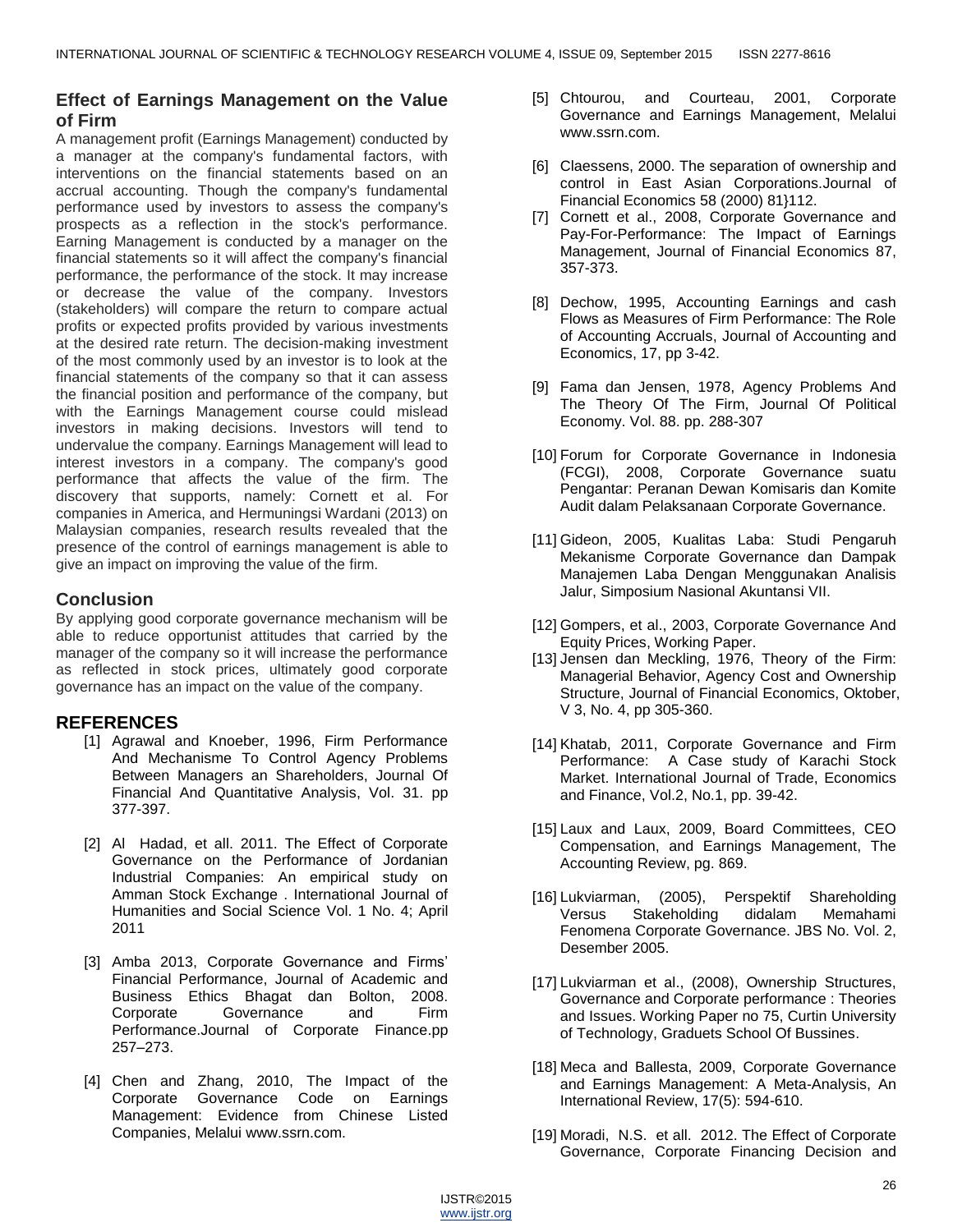## **Effect of Earnings Management on the Value of Firm**

A management profit (Earnings Management) conducted by a manager at the company's fundamental factors, with interventions on the financial statements based on an accrual accounting. Though the company's fundamental performance used by investors to assess the company's prospects as a reflection in the stock's performance. Earning Management is conducted by a manager on the financial statements so it will affect the company's financial performance, the performance of the stock. It may increase or decrease the value of the company. Investors (stakeholders) will compare the return to compare actual profits or expected profits provided by various investments at the desired rate return. The decision-making investment of the most commonly used by an investor is to look at the financial statements of the company so that it can assess the financial position and performance of the company, but with the Earnings Management course could mislead investors in making decisions. Investors will tend to undervalue the company. Earnings Management will lead to interest investors in a company. The company's good performance that affects the value of the firm. The discovery that supports, namely: Cornett et al. For companies in America, and Hermuningsi Wardani (2013) on Malaysian companies, research results revealed that the presence of the control of earnings management is able to give an impact on improving the value of the firm.

# **Conclusion**

By applying good corporate governance mechanism will be able to reduce opportunist attitudes that carried by the manager of the company so it will increase the performance as reflected in stock prices, ultimately good corporate governance has an impact on the value of the company.

## **REFERENCES**

- [1] Agrawal and Knoeber, 1996, Firm Performance And Mechanisme To Control Agency Problems Between Managers an Shareholders, Journal Of Financial And Quantitative Analysis, Vol. 31. pp 377-397.
- [2] Al Hadad, et all. 2011. The Effect of Corporate Governance on the Performance of Jordanian Industrial Companies: An empirical study on Amman Stock Exchange . International Journal of Humanities and Social Science Vol. 1 No. 4; April 2011
- [3] Amba 2013, Corporate Governance and Firms' Financial Performance, Journal of Academic and Business Ethics Bhagat dan Bolton, 2008. Corporate Governance and Firm Performance.Journal of Corporate Finance.pp 257–273.
- [4] Chen and Zhang, 2010, The Impact of the Corporate Governance Code on Earnings Management: Evidence from Chinese Listed Companies, Melalui www.ssrn.com.
- [5] Chtourou, and Courteau, 2001, Corporate Governance and Earnings Management, Melalui [www.ssrn.com.](http://www.ssrn.com/)
- [6] Claessens, 2000. The separation of ownership and control in East Asian Corporations.Journal of Financial Economics 58 (2000) 81}112.
- [7] Cornett et al., 2008, Corporate Governance and Pay-For-Performance: The Impact of Earnings Management, Journal of Financial Economics 87, 357-373.
- [8] Dechow, 1995, Accounting Earnings and cash Flows as Measures of Firm Performance: The Role of Accounting Accruals, Journal of Accounting and Economics, 17, pp 3-42.
- [9] Fama dan Jensen, 1978, Agency Problems And The Theory Of The Firm, Journal Of Political Economy. Vol. 88. pp. 288-307
- [10] Forum for Corporate Governance in Indonesia (FCGI), 2008, Corporate Governance suatu Pengantar: Peranan Dewan Komisaris dan Komite Audit dalam Pelaksanaan Corporate Governance.
- [11] Gideon, 2005, Kualitas Laba: Studi Pengaruh Mekanisme Corporate Governance dan Dampak Manajemen Laba Dengan Menggunakan Analisis Jalur, Simposium Nasional Akuntansi VII.
- [12] Gompers, et al., 2003, Corporate Governance And Equity Prices, Working Paper.
- [13] Jensen dan Meckling, 1976, Theory of the Firm: Managerial Behavior, Agency Cost and Ownership Structure, Journal of Financial Economics, Oktober, V 3, No. 4, pp 305-360.
- [14] Khatab, 2011, Corporate Governance and Firm Performance: A Case study of Karachi Stock Market. International Journal of Trade, Economics and Finance, Vol.2, No.1, pp. 39-42.
- [15] Laux and Laux, 2009, Board Committees, CEO Compensation, and Earnings Management, The Accounting Review, pg. 869.
- [16] Lukviarman, (2005), Perspektif Shareholding Versus Stakeholding didalam Memahami Fenomena Corporate Governance. JBS No. Vol. 2, Desember 2005.
- [17] Lukviarman et al., (2008), Ownership Structures, Governance and Corporate performance : Theories and Issues. Working Paper no 75, Curtin University of Technology, Graduets School Of Bussines.
- [18] Meca and Ballesta, 2009, Corporate Governance and Earnings Management: A Meta-Analysis, An International Review, 17(5): 594-610.
- [19] Moradi, N.S. et all. 2012. The Effect of Corporate Governance, Corporate Financing Decision and